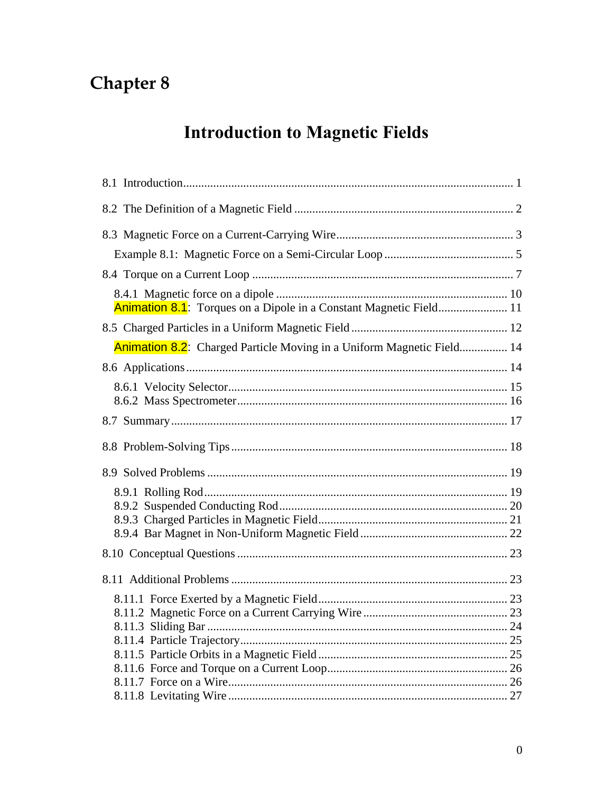# Chapter 8

## **Introduction to Magnetic Fields**

| Animation 8.1: Torques on a Dipole in a Constant Magnetic Field 11           |  |
|------------------------------------------------------------------------------|--|
|                                                                              |  |
| <b>Animation 8.2:</b> Charged Particle Moving in a Uniform Magnetic Field 14 |  |
|                                                                              |  |
|                                                                              |  |
|                                                                              |  |
|                                                                              |  |
|                                                                              |  |
|                                                                              |  |
|                                                                              |  |
|                                                                              |  |
|                                                                              |  |
|                                                                              |  |
|                                                                              |  |
|                                                                              |  |
|                                                                              |  |
|                                                                              |  |
|                                                                              |  |
|                                                                              |  |
|                                                                              |  |
|                                                                              |  |
|                                                                              |  |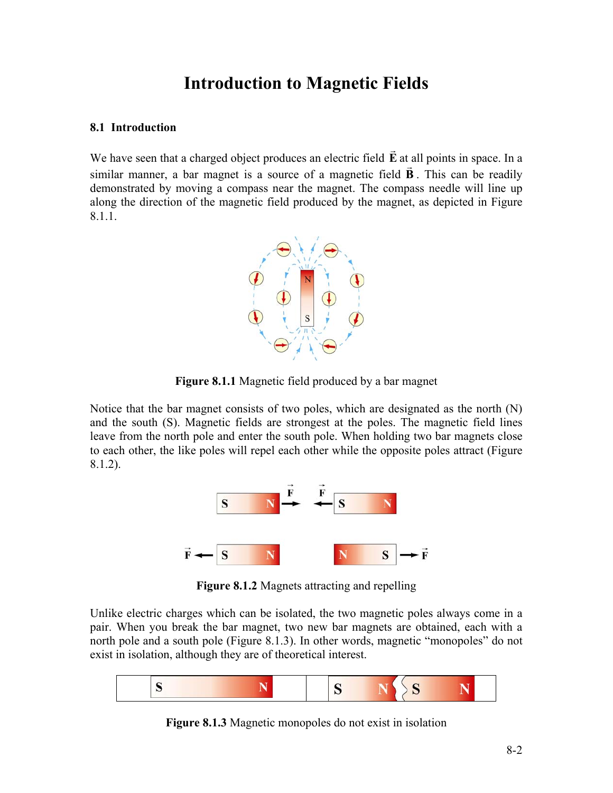## **Introduction to Magnetic Fields**

## <span id="page-1-0"></span>**8.1 Introduction**

We have seen that a charged object produces an electric field **E**  $\rightarrow$ at all points in space. In a similar manner, a bar magnet is a source of a magnetic field **B** . This can be readily demonstrated by moving a compass near the magnet. The compass needle will line up along the direction of the magnetic field produced by the magnet, as depicted in Figure 8.1.1.



**Figure 8.1.1** Magnetic field produced by a bar magnet

Notice that the bar magnet consists of two poles, which are designated as the north (N) and the south (S). Magnetic fields are strongest at the poles. The magnetic field lines leave from the north pole and enter the south pole. When holding two bar magnets close to each other, the like poles will repel each other while the opposite poles attract (Figure 8.1.2).



**Figure 8.1.2** Magnets attracting and repelling

Unlike electric charges which can be isolated, the two magnetic poles always come in a pair. When you break the bar magnet, two new bar magnets are obtained, each with a north pole and a south pole (Figure 8.1.3). In other words, magnetic "monopoles" do not exist in isolation, although they are of theoretical interest.



**Figure 8.1.3** Magnetic monopoles do not exist in isolation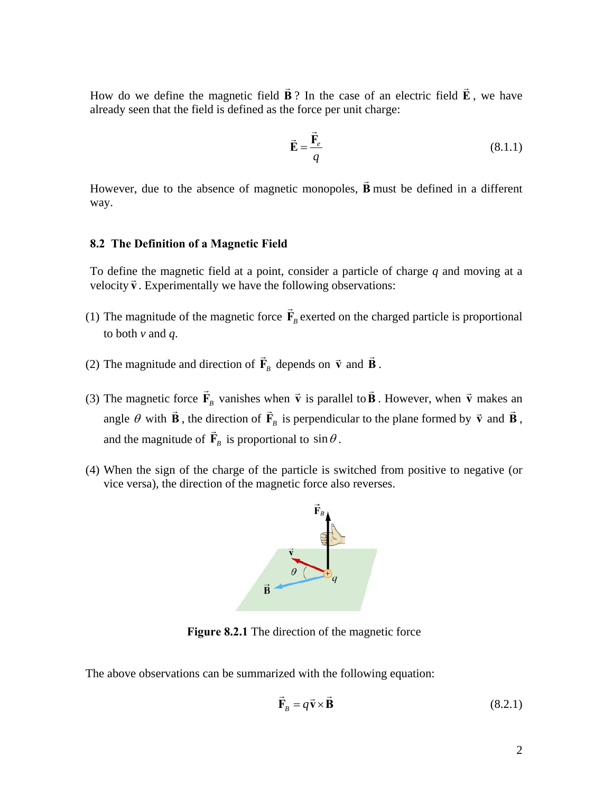<span id="page-2-0"></span>How do we define the magnetic field **B**  $\rightarrow$ ? In the case of an electric field **E** , we have already seen that the field is defined as the force per unit charge:  $\rightarrow$ 

$$
\vec{\mathbf{E}} = \frac{\vec{\mathbf{F}}_e}{q}
$$
 (8.1.1)

However, due to the absence of magnetic monopoles, **B**  $\rightarrow$ must be defined in a different way.

#### **8.2 The Definition of a Magnetic Field**

To define the magnetic field at a point, consider a particle of charge *q* and moving at a velocity  $\vec{v}$ . Experimentally we have the following observations:

- (1) The magnitude of the magnetic force  $\vec{F}_B$  exerted on the charged particle is proportional to both *v* and *q*.
- (2) The magnitude and direction of  $\vec{F}_B$  depends on  $\vec{v}$  and  $\vec{B}$  $\rightarrow$ .
- (3) The magnetic force  $\vec{F}_B$  vanishes when  $\vec{v}$  is parallel to  $\vec{B}$  $\rightarrow$ . However, when  $\vec{v}$  makes an angle  $\theta$  with  $\vec{B}$ , the direction of  $\vec{F}_B$  is perpendicular to the plane formed by  $\vec{v}$  and  $\vec{B}$ , and the magnitude of  $\vec{F}_B$  is proportional to  $\sin \theta$ .
- (4) When the sign of the charge of the particle is switched from positive to negative (or vice versa), the direction of the magnetic force also reverses.



**Figure 8.2.1** The direction of the magnetic force

The above observations can be summarized with the following equation:

$$
\vec{\mathbf{F}}_B = q\vec{\mathbf{v}} \times \vec{\mathbf{B}} \tag{8.2.1}
$$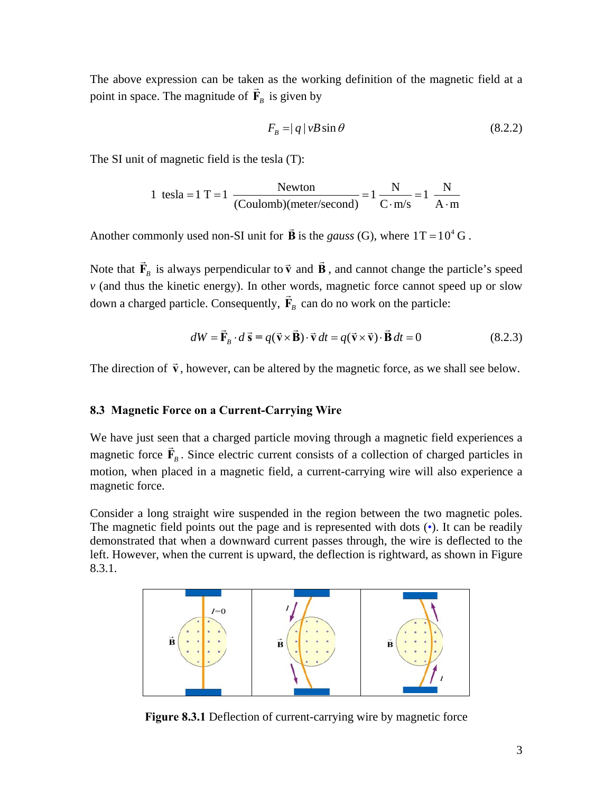<span id="page-3-0"></span>The above expression can be taken as the working definition of the magnetic field at a point in space. The magnitude of  $\vec{F}_B$  is given by

$$
F_B = |q| v B \sin \theta \tag{8.2.2}
$$

The SI unit of magnetic field is the tesla (T):

1 tesla = 1 T = 1 
$$
\frac{\text{Newton}}{(\text{Coulomb})(\text{meter/second})} = 1 \frac{\text{N}}{\text{C} \cdot \text{m/s}} = 1 \frac{\text{N}}{\text{A} \cdot \text{m}}
$$

Another commonly used non-SI unit for **B**  $\rightarrow$ is the *gauss* (G), where  $1T = 10^4$  G.

Note that  $\vec{F}_B$  is always perpendicular to  $\vec{v}$  and  $\vec{B}$  $\rightarrow$ , and cannot change the particle's speed *v* (and thus the kinetic energy). In other words, magnetic force cannot speed up or slow  $\vec{F}_B$  can do no work on the particle. Consequently,  $\vec{F}_B$  can do no work on the particle:

$$
dW = \vec{\mathbf{F}}_B \cdot d\vec{\mathbf{s}} = q(\vec{\mathbf{v}} \times \vec{\mathbf{B}}) \cdot \vec{\mathbf{v}} dt = q(\vec{\mathbf{v}} \times \vec{\mathbf{v}}) \cdot \vec{\mathbf{B}} dt = 0
$$
 (8.2.3)

The direction of  $\vec{v}$ , however, can be altered by the magnetic force, as we shall see below.

#### **8.3 Magnetic Force on a Current-Carrying Wire**

We have just seen that a charged particle moving through a magnetic field experiences a magnetic force  $\mathbf{F}_B$ . Since electric current consists of a collection of charged particles in motion, when placed in a magnetic field, a current-carrying wire will also experience a magnetic force.

Consider a long straight wire suspended in the region between the two magnetic poles. The magnetic field points out the page and is represented with dots  $(\cdot)$ . It can be readily demonstrated that when a downward current passes through, the wire is deflected to the left. However, when the current is upward, the deflection is rightward, as shown in Figure 8.3.1.



**Figure 8.3.1** Deflection of current-carrying wire by magnetic force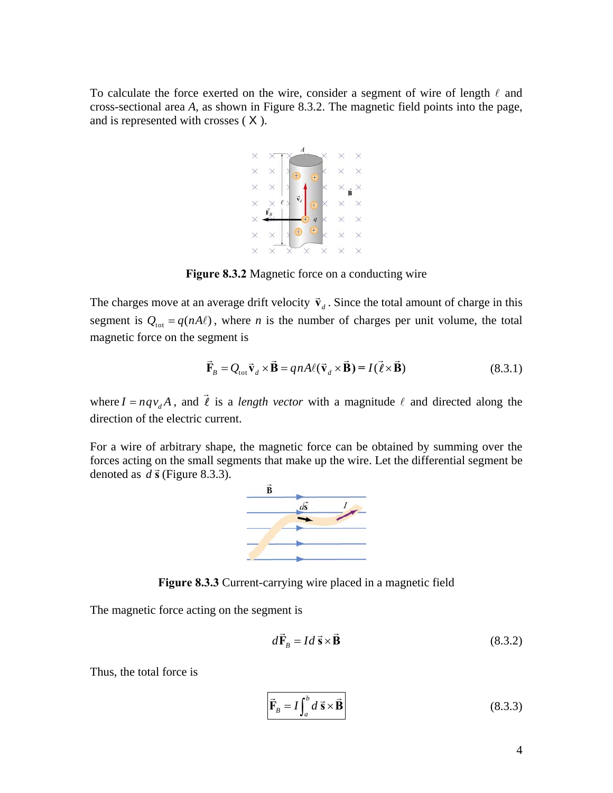To calculate the force exerted on the wire, consider a segment of wire of length  $\ell$  and cross-sectional area *A*, as shown in Figure 8.3.2. The magnetic field points into the page, and is represented with crosses ( X ).



**Figure 8.3.2** Magnetic force on a conducting wire

The charges move at an average drift velocity  $\vec{v}_d$ . Since the total amount of charge in this segment is  $Q_{\text{tot}} = q(nA\ell)$ , where *n* is the number of charges per unit volume, the total magnetic force on the segment is

$$
\vec{\mathbf{F}}_{B} = Q_{\text{tot}} \vec{\mathbf{v}}_{d} \times \vec{\mathbf{B}} = qnA\ell(\vec{\mathbf{v}}_{d} \times \vec{\mathbf{B}}) = I(\vec{\ell} \times \vec{\mathbf{B}})
$$
(8.3.1)

where  $I = nqv_dA$ , and  $\ell$  is a *length vector* with a magnitude  $\ell$  and directed along the direction of the electric current.  $\rightarrow$ A

For a wire of arbitrary shape, the magnetic force can be obtained by summing over the forces acting on the small segments that make up the wire. Let the differential segment be denoted as  $d\vec{s}$  (Figure 8.3.3).



**Figure 8.3.3** Current-carrying wire placed in a magnetic field

The magnetic force acting on the segment is

$$
d\vec{\mathbf{F}}_B = Id\vec{\mathbf{s}} \times \vec{\mathbf{B}} \tag{8.3.2}
$$

Thus, the total force is

$$
\vec{\mathbf{F}}_B = I \int_a^b d\vec{\mathbf{s}} \times \vec{\mathbf{B}} \tag{8.3.3}
$$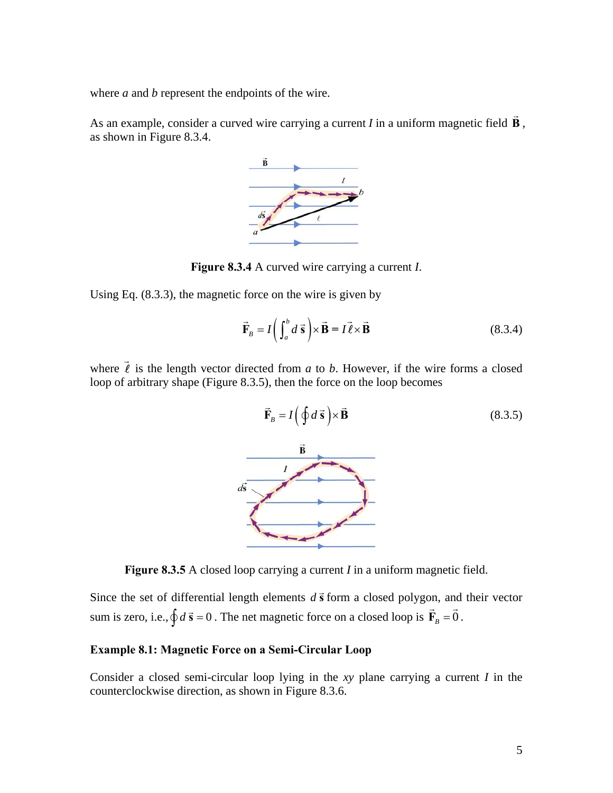<span id="page-5-0"></span>where *a* and *b* represent the endpoints of the wire.

As an example, consider a curved wire carrying a current *I* in a uniform magnetic field **B**  $\rightarrow$ , as shown in Figure 8.3.4.



**Figure 8.3.4** A curved wire carrying a current *I*.

Using Eq. (8.3.3), the magnetic force on the wire is given by

$$
\vec{\mathbf{F}}_B = I \left( \int_a^b d\vec{\mathbf{s}} \right) \times \vec{\mathbf{B}} = I \vec{\ell} \times \vec{\mathbf{B}} \tag{8.3.4}
$$

where  $\ell$  is the length vector directed from *a* to *b*. However, if the wire forms a closed loop of arbitrary shape (Figure 8.3.5), then the force on the loop becomes  $\overline{\phantom{a}}$  $\ell$ 



**Figure 8.3.5** A closed loop carrying a current *I* in a uniform magnetic field.

Since the set of differential length elements  $d\vec{s}$  form a closed polygon, and their vector sum is zero, i.e.,  $\oint d\vec{s} = 0$ . The net magnetic force on a closed loop is  $\vec{F}_B = \vec{0}$ .

#### **Example 8.1: Magnetic Force on a Semi-Circular Loop**

Consider a closed semi-circular loop lying in the *xy* plane carrying a current *I* in the counterclockwise direction, as shown in Figure 8.3.6.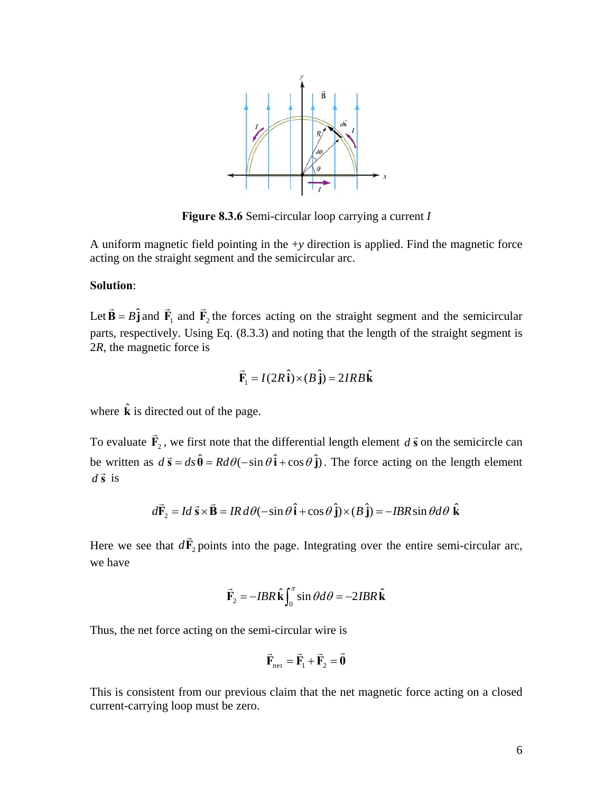

**Figure 8.3.6** Semi-circular loop carrying a current *I*

A uniform magnetic field pointing in the +*y* direction is applied. Find the magnetic force acting on the straight segment and the semicircular arc.

#### **Solution**:

Let  $\vec{B} = B\hat{j}$  and  $\vec{F}_1$  and  $\vec{F}_2$  the forces acting on the straight segment and the semicircular parts, respectively. Using Eq. (8.3.3) and noting that the length of the straight segment is 2*R*, the magnetic force is

$$
\vec{\mathbf{F}}_{1} = I(2R\,\hat{\mathbf{i}}) \times (B\,\hat{\mathbf{j}}) = 2IRB\,\hat{\mathbf{k}}
$$

where  $\hat{k}$  is directed out of the page.

To evaluate  $\vec{F}_2$ , we first note that the differential length element *d* **s** on the semicircle can be written as  $d\vec{s} = ds\hat{\theta} = Rd\theta(-\sin\theta\hat{i} + \cos\theta\hat{j})$ . The force acting on the length element  $d\vec{s}$  is

$$
d\vec{F}_2 = Id \vec{s} \times \vec{B} = IR d\theta(-\sin\theta \hat{i} + \cos\theta \hat{j}) \times (B \hat{j}) = -IBR \sin\theta d\theta \hat{k}
$$

Here we see that  $d\mathbf{F}_2$  points into the page. Integrating over the entire semi-circular arc, we have  $\rightarrow$ 

$$
\vec{\mathbf{F}}_2 = -IBR \,\hat{\mathbf{k}} \int_0^{\pi} \sin \theta d\theta = -2IBR \,\hat{\mathbf{k}}
$$

Thus, the net force acting on the semi-circular wire is

$$
\vec{\mathbf{F}}_{\text{net}} = \vec{\mathbf{F}}_1 + \vec{\mathbf{F}}_2 = \vec{\mathbf{0}}
$$

This is consistent from our previous claim that the net magnetic force acting on a closed current-carrying loop must be zero.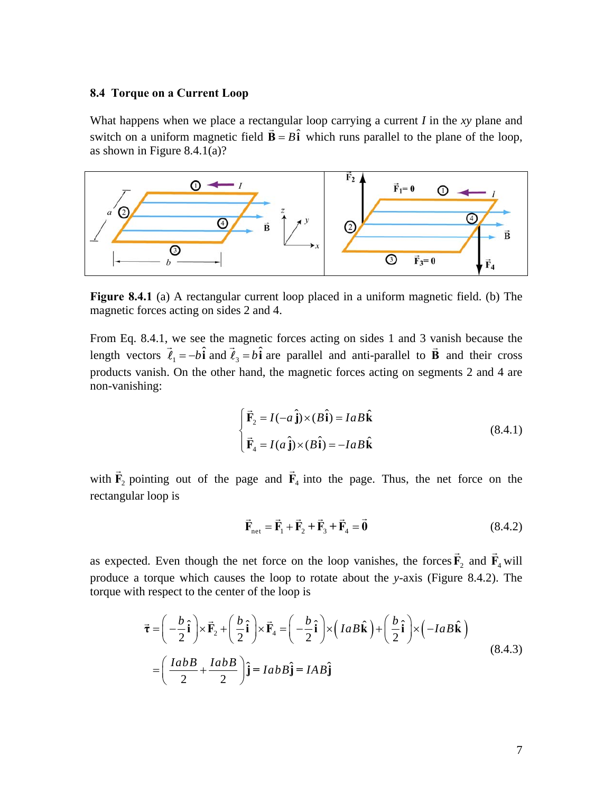#### <span id="page-7-0"></span>**8.4 Torque on a Current Loop**

What happens when we place a rectangular loop carrying a current *I* in the *xy* plane and switch on a uniform magnetic field  $\vec{B} = B\hat{i}$  which runs parallel to the plane of the loop, as shown in Figure 8.4.1(a)?



**Figure 8.4.1** (a) A rectangular current loop placed in a uniform magnetic field. (b) The magnetic forces acting on sides 2 and 4.

From Eq. 8.4.1, we see the magnetic forces acting on sides 1 and 3 vanish because the From Eq. 6.4.1, we see the magnetic forces acting on sides 1 and 5 valush because the length vectors  $\vec{l}_1 = -b\hat{i}$  and  $\vec{l}_3 = b\hat{i}$  are parallel and anti-parallel to **B** and their cross products vanish. On the other hand, the magnetic forces acting on segments 2 and 4 are non-vanishing:

$$
\begin{cases}\n\vec{\mathbf{F}}_2 = I(-a\,\hat{\mathbf{j}}) \times (B\,\hat{\mathbf{i}}) = IaB\,\hat{\mathbf{k}} \\
\vec{\mathbf{F}}_4 = I(a\,\hat{\mathbf{j}}) \times (B\,\hat{\mathbf{i}}) = -IaB\,\hat{\mathbf{k}}\n\end{cases}
$$
\n(8.4.1)

with  $\vec{F}_2$  pointing out of the page and  $\vec{F}_4$  into the page. Thus, the net force on the rectangular loop is

$$
\vec{F}_{net} = \vec{F}_1 + \vec{F}_2 + \vec{F}_3 + \vec{F}_4 = \vec{0}
$$
 (8.4.2)

as expected. Even though the net force on the loop vanishes, the forces  $\vec{F}_2$  and  $\vec{F}_4$  will produce a torque which causes the loop to rotate about the *y*-axis (Figure 8.4.2). The torque with respect to the center of the loop is

$$
\vec{\tau} = \left(-\frac{b}{2}\hat{\mathbf{i}}\right) \times \vec{\mathbf{F}}_2 + \left(\frac{b}{2}\hat{\mathbf{i}}\right) \times \vec{\mathbf{F}}_4 = \left(-\frac{b}{2}\hat{\mathbf{i}}\right) \times \left(IaB\hat{\mathbf{k}}\right) + \left(\frac{b}{2}\hat{\mathbf{i}}\right) \times \left(-IaB\hat{\mathbf{k}}\right)
$$
\n
$$
= \left(\frac{IabB}{2} + \frac{IabB}{2}\right)\hat{\mathbf{j}} = IabB\hat{\mathbf{j}} = IAB\hat{\mathbf{j}}
$$
\n(8.4.3)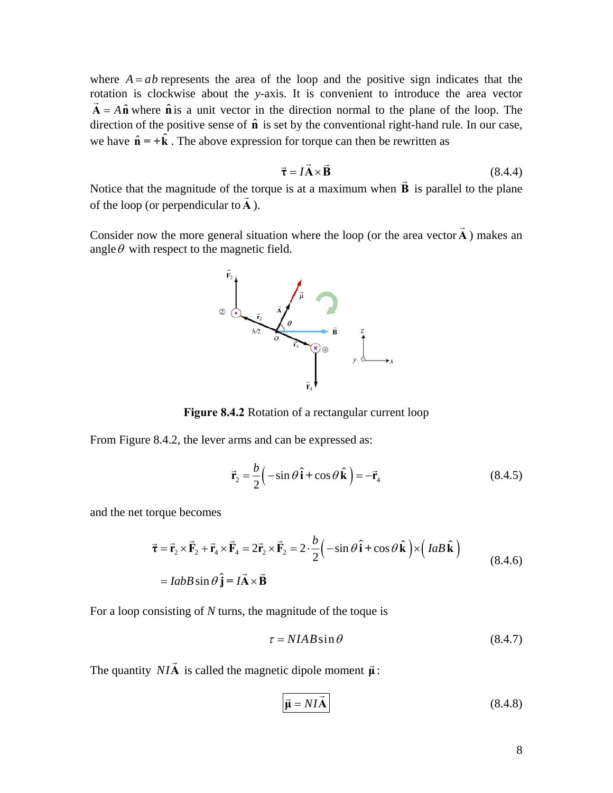where  $A = ab$  represents the area of the loop and the positive sign indicates that the rotation is clockwise about the *y*-axis. It is convenient to introduce the area vector **A** =  $A$  **n**̂ where  $\hat{\bf{n}}$  is a unit vector in the direction normal to the plane of the loop. The direction of the positive sense of  $\hat{\mathbf{n}}$  is set by the conventional right-hand rule. In our case, we have  $\hat{\mathbf{n}} = +\hat{\mathbf{k}}$ . The above expression for torque can then be rewritten as

$$
\vec{\tau} = I\vec{A} \times \vec{B}
$$
 (8.4.4)

Notice that the magnitude of the torque is at a maximum when  $\vec{B}$  is parallel to the plane of the loop (or perpendicular to  $\vec{A}$ ).

Consider now the more general situation where the loop (or the area vector  $\vec{A}$ ) makes an angle  $\theta$  with respect to the magnetic field.  $\rightarrow$ 



**Figure 8.4.2** Rotation of a rectangular current loop

From Figure 8.4.2, the lever arms and can be expressed as:

$$
\vec{\mathbf{r}}_2 = \frac{b}{2} \left( -\sin \theta \,\hat{\mathbf{i}} + \cos \theta \,\hat{\mathbf{k}} \right) = -\vec{\mathbf{r}}_4 \tag{8.4.5}
$$

and the net torque becomes

$$
\vec{\tau} = \vec{r}_2 \times \vec{F}_2 + \vec{r}_4 \times \vec{F}_4 = 2\vec{r}_2 \times \vec{F}_2 = 2 \cdot \frac{b}{2} \left( -\sin\theta \hat{i} + \cos\theta \hat{k} \right) \times \left( IaB \hat{k} \right)
$$
  
=  $Ia b B \sin \theta \hat{j} = I \vec{A} \times \vec{B}$  (8.4.6)

For a loop consisting of *N* turns, the magnitude of the toque is

$$
\tau = NIAB \sin \theta \tag{8.4.7}
$$

The quantity  $NI\vec{A}$  is called the magnetic dipole moment  $\vec{\mu}$ :

$$
\vec{\mu} = NI\vec{A}
$$
 (8.4.8)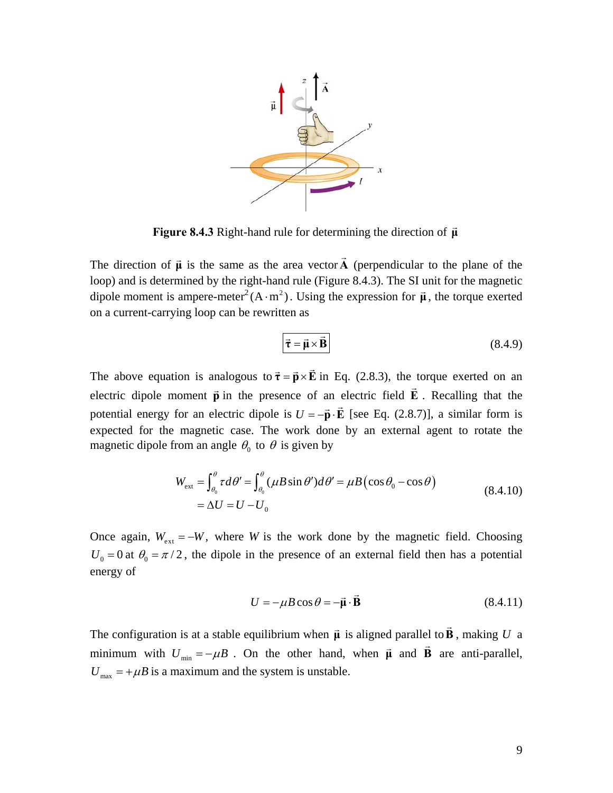

**Figure 8.4.3** Right-hand rule for determining the direction of **µ** G

The direction of  $\vec{\mu}$  is the same as the area vector  $\vec{A}$  (perpendicular to the plane of the loop) and is determined by the right-hand rule (Figure 8.4.3). The SI unit for the magnetic dipole moment is ampere-meter<sup>2</sup>( $A \cdot m^2$ ). Using the expression for  $\vec{\mu}$ , the torque exerted on a current-carrying loop can be rewritten as

$$
\vec{\tau} = \vec{\mu} \times \vec{\mathbf{B}} \tag{8.4.9}
$$

The above equation is analogous to  $\vec{\tau} = \vec{p} \times \vec{E}$  in Eq. (2.8.3), the torque exerted on an electric dipole moment  $\vec{p}$  in the presence of an electric field  $\vec{E}$ . Recalling that the potential energy for an electric dipole is  $U = -\vec{p} \cdot \vec{E}$  [see Eq. (2.8.7)], a similar form is expected for the magnetic case. The work done by an external agent to rotate the magnetic dipole from an angle  $\theta_0$  to  $\theta$  is given by

$$
W_{\text{ext}} = \int_{\theta_0}^{\theta} \tau d\theta' = \int_{\theta_0}^{\theta} (\mu B \sin \theta') d\theta' = \mu B (\cos \theta_0 - \cos \theta)
$$
  
=  $\Delta U = U - U_0$  (8.4.10)

Once again,  $W_{ext} = -W$ , where *W* is the work done by the magnetic field. Choosing  $U_0 = 0$  at  $\theta_0 = \pi/2$ , the dipole in the presence of an external field then has a potential energy of

$$
U = -\mu B \cos \theta = -\vec{\mu} \cdot \vec{B}
$$
 (8.4.11)

The configuration is at a stable equilibrium when  $\vec{\mu}$  is aligned parallel to  $\vec{B}$ , making U a minimum with  $U_{\text{min}} = -\mu B$ . On the other hand, when  $\vec{\mu}$  and  $\vec{B}$  are anti-parallel,  $\rightarrow$  $U_{\text{max}} = +\mu B$  is a maximum and the system is unstable.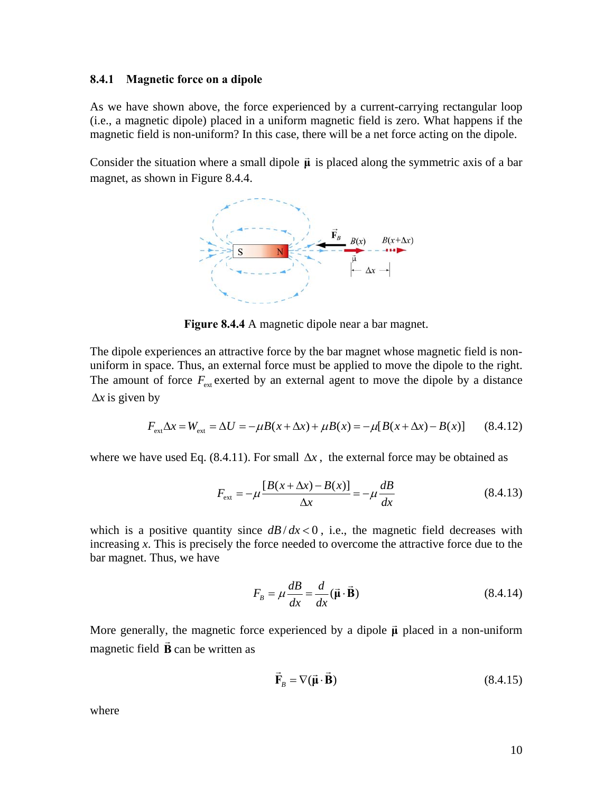#### <span id="page-10-0"></span>**8.4.1 Magnetic force on a dipole**

As we have shown above, the force experienced by a current-carrying rectangular loop (i.e., a magnetic dipole) placed in a uniform magnetic field is zero. What happens if the magnetic field is non-uniform? In this case, there will be a net force acting on the dipole.

Consider the situation where a small dipole  $\vec{\mu}$  is placed along the symmetric axis of a bar magnet, as shown in Figure 8.4.4.



**Figure 8.4.4** A magnetic dipole near a bar magnet.

The dipole experiences an attractive force by the bar magnet whose magnetic field is nonuniform in space. Thus, an external force must be applied to move the dipole to the right. The amount of force  $F_{\text{ext}}$  exerted by an external agent to move the dipole by a distance  $\Delta x$  is given by

$$
F_{\text{ext}}\Delta x = W_{\text{ext}} = \Delta U = -\mu B(x + \Delta x) + \mu B(x) = -\mu [B(x + \Delta x) - B(x)] \tag{8.4.12}
$$

where we have used Eq. (8.4.11). For small  $\Delta x$ , the external force may be obtained as

$$
F_{\text{ext}} = -\mu \frac{[B(x + \Delta x) - B(x)]}{\Delta x} = -\mu \frac{dB}{dx}
$$
 (8.4.13)

which is a positive quantity since  $d\frac{B}{dx} < 0$ , i.e., the magnetic field decreases with increasing *x*. This is precisely the force needed to overcome the attractive force due to the bar magnet. Thus, we have

$$
F_B = \mu \frac{dB}{dx} = \frac{d}{dx} (\vec{\mathbf{\mu}} \cdot \vec{\mathbf{B}})
$$
 (8.4.14)

More generally, the magnetic force experienced by a dipole  $\vec{\mu}$  placed in a non-uniform magnetic field  $\vec{B}$  can be written as

$$
\vec{\mathbf{F}}_B = \nabla(\vec{\boldsymbol{\mu}} \cdot \vec{\mathbf{B}})
$$
 (8.4.15)

where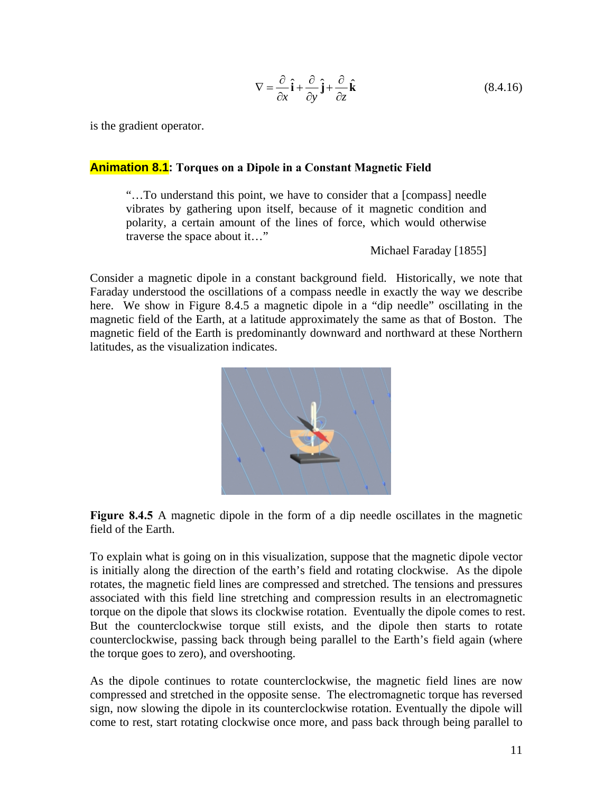$$
\nabla = \frac{\partial}{\partial x}\hat{\mathbf{i}} + \frac{\partial}{\partial y}\hat{\mathbf{j}} + \frac{\partial}{\partial z}\hat{\mathbf{k}} \tag{8.4.16}
$$

<span id="page-11-0"></span>is the gradient operator.

#### **Animation 8.1: Torques on a Dipole in a Constant Magnetic Field**

"…To understand this point, we have to consider that a [compass] needle vibrates by gathering upon itself, because of it magnetic condition and polarity, a certain amount of the lines of force, which would otherwise traverse the space about it…"

Michael Faraday [1855]

Consider a magnetic dipole in a constant background field. Historically, we note that Faraday understood the oscillations of a compass needle in exactly the way we describe here. We show in Figure 8.4.5 a magnetic dipole in a "dip needle" oscillating in the magnetic field of the Earth, at a latitude approximately the same as that of Boston. The magnetic field of the Earth is predominantly downward and northward at these Northern latitudes, as the visualization indicates.





To explain what is going on in this visualization, suppose that the magnetic dipole vector is initially along the direction of the earth's field and rotating clockwise. As the dipole rotates, the magnetic field lines are compressed and stretched. The tensions and pressures associated with this field line stretching and compression results in an electromagnetic torque on the dipole that slows its clockwise rotation. Eventually the dipole comes to rest. But the counterclockwise torque still exists, and the dipole then starts to rotate counterclockwise, passing back through being parallel to the Earth's field again (where the torque goes to zero), and overshooting.

As the dipole continues to rotate counterclockwise, the magnetic field lines are now compressed and stretched in the opposite sense. The electromagnetic torque has reversed sign, now slowing the dipole in its counterclockwise rotation. Eventually the dipole will come to rest, start rotating clockwise once more, and pass back through being parallel to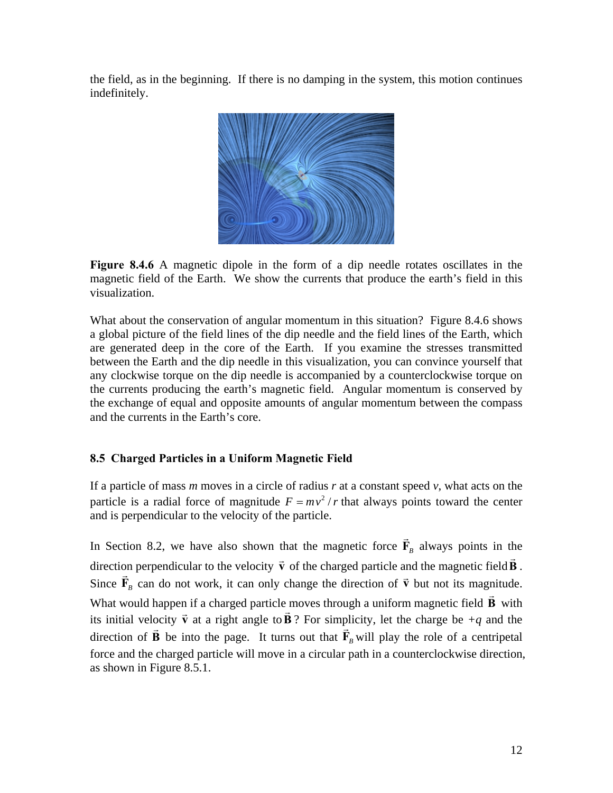<span id="page-12-0"></span>the field, as in the beginning. If there is no damping in the system, this motion continues indefinitely.



Figure 8.4.6 A magnetic dipole in the form of a dip needle rotates oscillates in the magnetic field of the Earth. We show the currents that produce the earth's field in this visualization.

What about the conservation of angular momentum in this situation? Figure 8.4.6 shows a global picture of the field lines of the dip needle and the field lines of the Earth, which are generated deep in the core of the Earth. If you examine the stresses transmitted between the Earth and the dip needle in this visualization, you can convince yourself that any clockwise torque on the dip needle is accompanied by a counterclockwise torque on the currents producing the earth's magnetic field. Angular momentum is conserved by the exchange of equal and opposite amounts of angular momentum between the compass and the currents in the Earth's core.

## **8.5 Charged Particles in a Uniform Magnetic Field**

If a particle of mass *m* moves in a circle of radius *r* at a constant speed *v*, what acts on the particle is a radial force of magnitude  $F = mv^2 / r$  that always points toward the center and is perpendicular to the velocity of the particle.

In Section 8.2, we have also shown that the magnetic force  $\vec{F}_B$  always points in the direction perpendicular to the velocity  $\vec{v}$  of the charged particle and the magnetic field  $\vec{B}$ G . Since  $\vec{F}_B$  can do not work, it can only change the direction of  $\vec{v}$  but not its magnitude. What would happen if a charged particle moves through a uniform magnetic field  $\vec{B}$  with its initial velocity  $\vec{v}$  at a right angle to  $\vec{B}$ ? For simplicity, let the charge be *+q* and the  $\overline{\phantom{a}}$ i<br>→ direction of  $\vec{B}$  be into the page. It turns out that  $\vec{F}_B$  will play the role of a centripetal force and the charged particle will move in a circular path in a counterclockwise direction, as shown in Figure 8.5.1.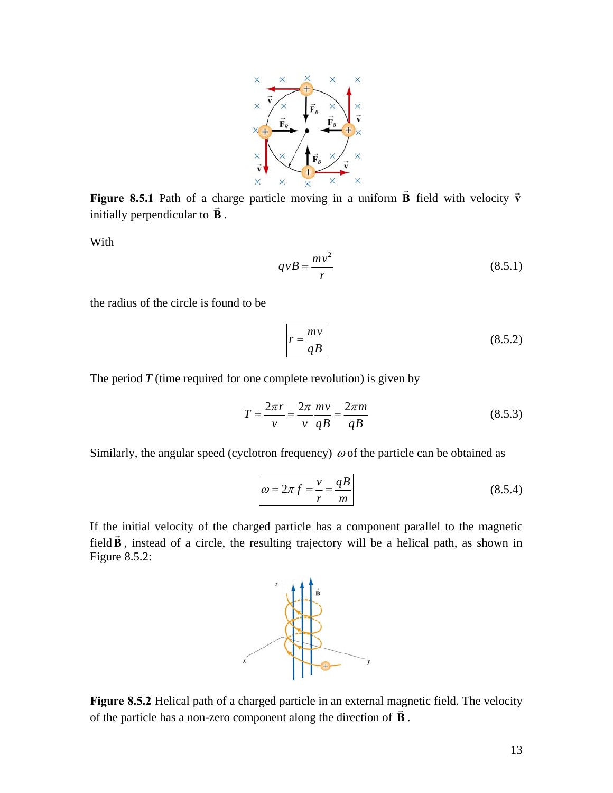

**Figure 8.5.1** Path of a charge particle moving in a uniform **B** field with velocity **v** initially perpendicular to  $\vec{B}$ .  $\overline{a}$ 

With

$$
qvB = \frac{mv^2}{r}
$$
 (8.5.1)

the radius of the circle is found to be

$$
r = \frac{mv}{qB}
$$
 (8.5.2)

The period  $T$  (time required for one complete revolution) is given by

$$
T = \frac{2\pi r}{v} = \frac{2\pi}{v} \frac{mv}{qB} = \frac{2\pi m}{qB}
$$
(8.5.3)

Similarly, the angular speed (cyclotron frequency)  $\omega$  of the particle can be obtained as

$$
\omega = 2\pi f = \frac{v}{r} = \frac{qB}{m}
$$
\n(8.5.4)

If the initial velocity of the charged particle has a component parallel to the magnetic G field**B** , instead of a circle, the resulting trajectory will be a helical path, as shown in Figure 8.5.2:



**Figure 8.5.2** Helical path of a charged particle in an external magnetic field. The velocity of the particle has a non-zero component along the direction of **B** .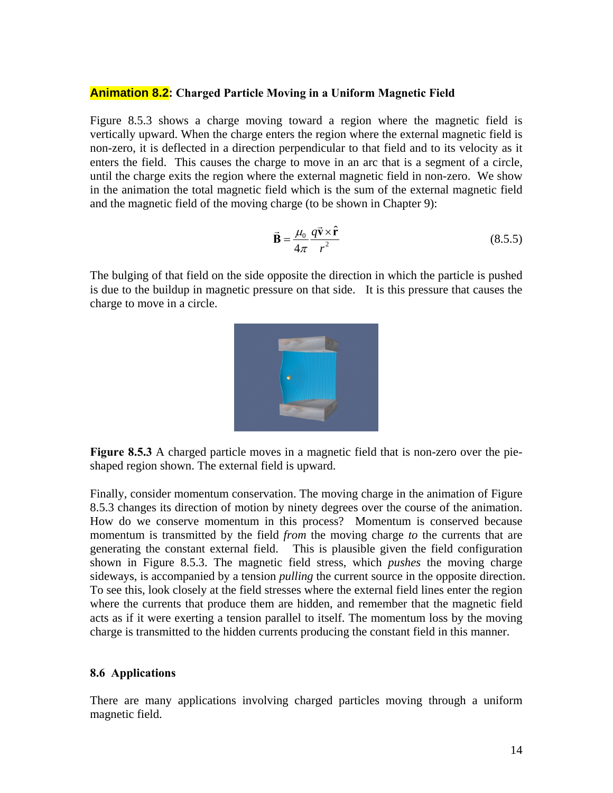#### <span id="page-14-0"></span>**Animation 8.2: Charged Particle Moving in a Uniform Magnetic Field**

Figure 8.5.3 shows a charge moving toward a region where the magnetic field is vertically upward. When the charge enters the region where the external magnetic field is non-zero, it is deflected in a direction perpendicular to that field and to its velocity as it enters the field. This causes the charge to move in an arc that is a segment of a circle, until the charge exits the region where the external magnetic field in non-zero. We show in the animation the total magnetic field which is the sum of the external magnetic field and the magnetic field of the moving charge (to be shown in Chapter 9):

$$
\vec{\mathbf{B}} = \frac{\mu_0}{4\pi} \frac{q\vec{\mathbf{v}} \times \hat{\mathbf{r}}}{r^2}
$$
 (8.5.5)

The bulging of that field on the side opposite the direction in which the particle is pushed is due to the buildup in magnetic pressure on that side. It is this pressure that causes the charge to move in a circle.



**Figure 8.5.3** A charged particle moves in a magnetic field that is non-zero over the pieshaped region shown. The external field is upward.

Finally, consider momentum conservation. The moving charge in the animation of Figure 8.5.3 changes its direction of motion by ninety degrees over the course of the animation. How do we conserve momentum in this process? Momentum is conserved because momentum is transmitted by the field *from* the moving charge *to* the currents that are generating the constant external field. This is plausible given the field configuration shown in Figure 8.5.3. The magnetic field stress, which *pushes* the moving charge sideways, is accompanied by a tension *pulling* the current source in the opposite direction. To see this, look closely at the field stresses where the external field lines enter the region where the currents that produce them are hidden, and remember that the magnetic field acts as if it were exerting a tension parallel to itself. The momentum loss by the moving charge is transmitted to the hidden currents producing the constant field in this manner.

#### **8.6 Applications**

There are many applications involving charged particles moving through a uniform magnetic field.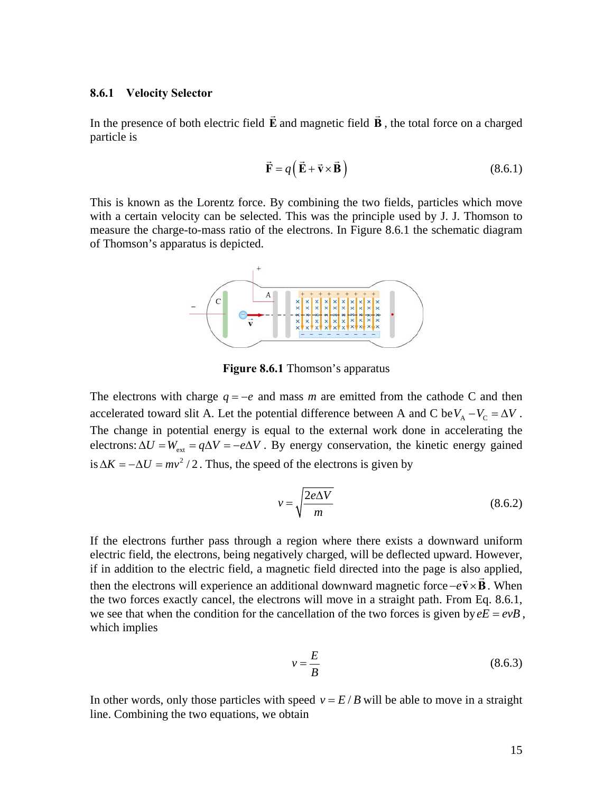#### <span id="page-15-0"></span>**8.6.1 Velocity Selector**

In the presence of both electric field **E**  $\rightarrow$ and magnetic field **B**  $\rightarrow$ , the total force on a charged particle is

$$
\vec{\mathbf{F}} = q\left(\vec{\mathbf{E}} + \vec{\mathbf{v}} \times \vec{\mathbf{B}}\right)
$$
 (8.6.1)

This is known as the Lorentz force. By combining the two fields, particles which move with a certain velocity can be selected. This was the principle used by J. J. Thomson to measure the charge-to-mass ratio of the electrons. In Figure 8.6.1 the schematic diagram of Thomson's apparatus is depicted.



**Figure 8.6.1** Thomson's apparatus

The electrons with charge  $q = -e$  and mass *m* are emitted from the cathode C and then accelerated toward slit A. Let the potential difference between A and C be  $V_A - V_C = \Delta V$ . The change in potential energy is equal to the external work done in accelerating the electrons:  $\Delta U = W_{\text{ext}} = q\Delta V = -e\Delta V$ . By energy conservation, the kinetic energy gained is  $\Delta K = -\Delta U = mv^2/2$ . Thus, the speed of the electrons is given by

$$
v = \sqrt{\frac{2e\Delta V}{m}}
$$
 (8.6.2)

If the electrons further pass through a region where there exists a downward uniform electric field, the electrons, being negatively charged, will be deflected upward. However, if in addition to the electric field, a magnetic field directed into the page is also applied, then the electrons will experience an additional downward magnetic force  $-e\vec{v} \times \vec{B}$ . When the two forces exactly cancel, the electrons will move in a straight path. From Eq. 8.6.1, we see that when the condition for the cancellation of the two forces is given by  $eE = evB$ , which implies

$$
v = \frac{E}{B} \tag{8.6.3}
$$

In other words, only those particles with speed  $v = E/B$  will be able to move in a straight line. Combining the two equations, we obtain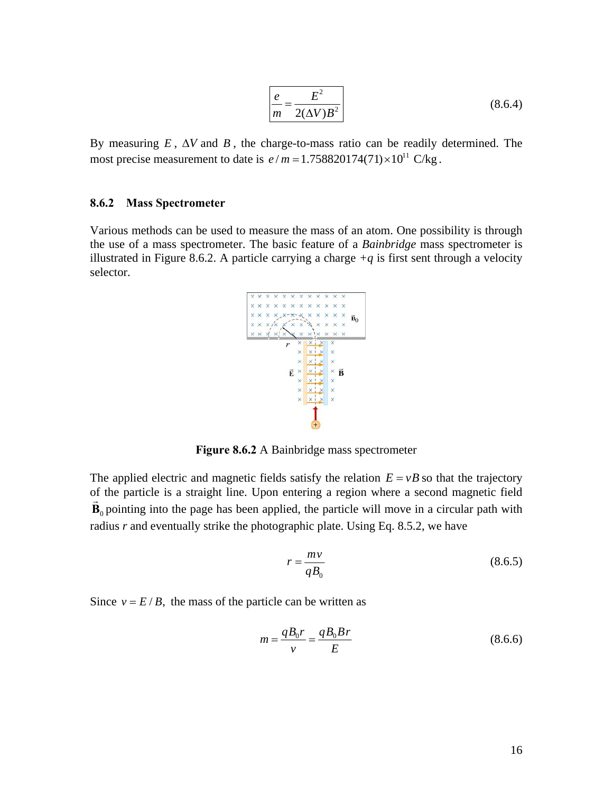$$
\left| \frac{e}{m} = \frac{E^2}{2(\Delta V)B^2} \right| \tag{8.6.4}
$$

<span id="page-16-0"></span>By measuring  $E$ ,  $\Delta V$  and  $B$ , the charge-to-mass ratio can be readily determined. The most precise measurement to date is  $e/m = 1.758820174(71) \times 10^{11}$  C/kg.

#### **8.6.2 Mass Spectrometer**

Various methods can be used to measure the mass of an atom. One possibility is through the use of a mass spectrometer. The basic feature of a *Bainbridge* mass spectrometer is illustrated in Figure 8.6.2. A particle carrying a charge  $+q$  is first sent through a velocity selector.



**Figure 8.6.2** A Bainbridge mass spectrometer

The applied electric and magnetic fields satisfy the relation  $E = vB$  so that the trajectory of the particle is a straight line. Upon entering a region where a second magnetic field G  $\mathbf{B}_0$  pointing into the page has been applied, the particle will move in a circular path with radius *r* and eventually strike the photographic plate. Using Eq. 8.5.2, we have

$$
r = \frac{mv}{qB_0} \tag{8.6.5}
$$

Since  $v = E/B$ , the mass of the particle can be written as

$$
m = \frac{qB_0r}{v} = \frac{qB_0Br}{E}
$$
 (8.6.6)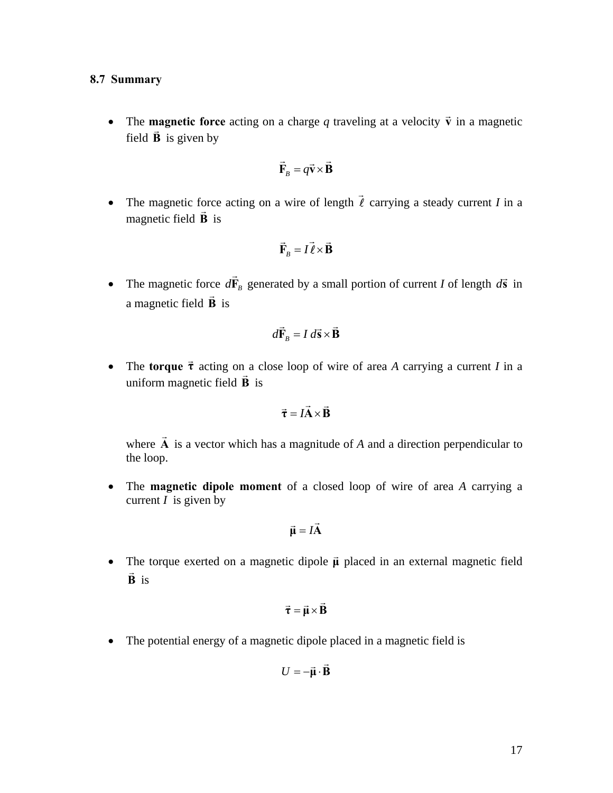## <span id="page-17-0"></span>**8.7 Summary**

• The **magnetic force** acting on a charge  $q$  traveling at a velocity  $\vec{v}$  in a magnetic field  $\vec{B}$  is given by

$$
\vec{\mathbf{F}}_B = q\vec{\mathbf{v}} \times \vec{\mathbf{B}}
$$

• The magnetic force acting on a wire of length  $\vec{\ell}$  carrying a steady current *I* in a magnetic field **B** is

$$
\vec{\mathbf{F}}_B = I \vec{\ell} \times \vec{\mathbf{B}}
$$

• The magnetic force  $d\vec{F}_B$  generated by a small portion of current *I* of length  $d\vec{s}$  in a magnetic field  $\vec{B}$  is  $\overline{a}$ 

$$
d\vec{\mathbf{F}}_B = I \, d\vec{\mathbf{s}} \times \vec{\mathbf{B}}
$$

• The **torque**  $\vec{\tau}$  acting on a close loop of wire of area *A* carrying a current *I* in a uniform magnetic field  $\overline{B}$  is  $\vdash$ 

$$
\vec{\tau} = I \vec{A} \times \vec{B}
$$

where  $\bf{A}$  is a vector which has a magnitude of  $\bf{A}$  and a direction perpendicular to the loop.  $\rightarrow$ 

• The **magnetic dipole moment** of a closed loop of wire of area *A* carrying a current *I* is given by

$$
\vec{\mu} = I\vec{A}
$$

• The torque exerted on a magnetic dipole  $\vec{\mu}$  placed in an external magnetic field **B** is  $\ddot{\phantom{0}}$ 

$$
\vec{\tau} = \vec{\mu} \times \vec{B}
$$

• The potential energy of a magnetic dipole placed in a magnetic field is

$$
U = -\vec{\mu} \cdot \vec{\mathbf{B}}
$$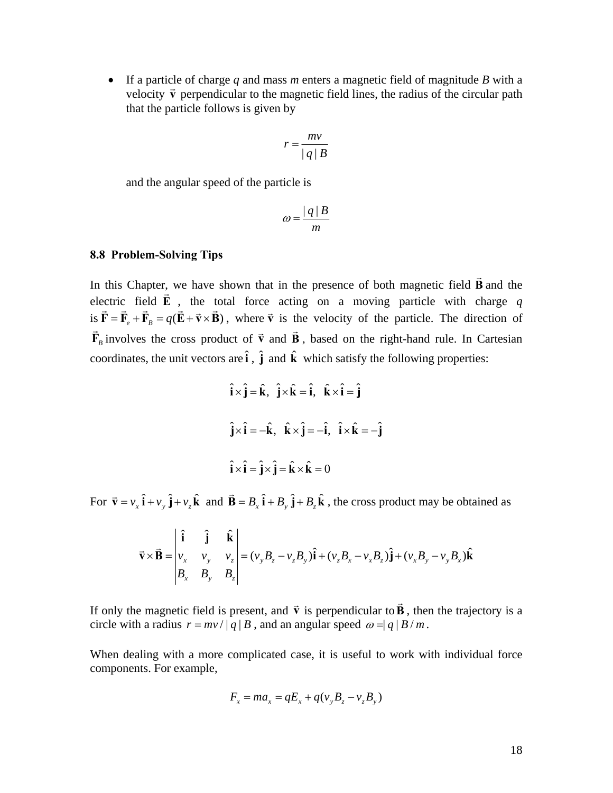<span id="page-18-0"></span>• If a particle of charge *q* and mass *m* enters a magnetic field of magnitude *B* with a If a particle of charge  $q$  and mass  $m$  enters a magnetic field of magnitude  $B$  with a velocity  $\vec{v}$  perpendicular to the magnetic field lines, the radius of the circular path that the particle follows is given by

$$
r = \frac{mv}{|q|B}
$$

and the angular speed of the particle is

$$
\omega = \frac{|q|B}{m}
$$

#### **8.8 Problem-Solving Tips**

In this Chapter, we have shown that in the presence of both magnetic field **B** and the electric field  $\vec{E}$ , the total force acting on a moving particle with charge q  $\vec{F} = \vec{F}_e + \vec{F}_B = q(\vec{E} + \vec{v} \times \vec{B})$ , where  $\vec{v}$  is the velocity of the particle. The direction of  $\rightarrow$  $\ddot{\phantom{0}}$  $\mathbf{F}_B$  involves the cross product of  $\mathbf{\vec{v}}$  $\vec{F}_R$  involves the cross product of  $\vec{v}$  and  $\vec{B}$  $\overline{\phantom{a}}$ , based on the right-hand rule. In Cartesian coordinates, the unit vectors are  $\hat{i}$ ,  $\hat{j}$  and  $\hat{k}$  which satisfy the following properties:

$$
\hat{\mathbf{i}} \times \hat{\mathbf{j}} = \hat{\mathbf{k}}, \ \hat{\mathbf{j}} \times \hat{\mathbf{k}} = \hat{\mathbf{i}}, \ \hat{\mathbf{k}} \times \hat{\mathbf{i}} = \hat{\mathbf{j}}
$$
  

$$
\hat{\mathbf{j}} \times \hat{\mathbf{i}} = -\hat{\mathbf{k}}, \ \hat{\mathbf{k}} \times \hat{\mathbf{j}} = -\hat{\mathbf{i}}, \ \hat{\mathbf{i}} \times \hat{\mathbf{k}} = -\hat{\mathbf{j}}
$$
  

$$
\hat{\mathbf{i}} \times \hat{\mathbf{i}} = \hat{\mathbf{j}} \times \hat{\mathbf{j}} = \hat{\mathbf{k}} \times \hat{\mathbf{k}} = 0
$$

For  $\vec{v} = v_x \hat{i} + v_y \hat{j} + v_z \hat{k}$  and  $\vec{B} = B_x \hat{i} + B_y \hat{j} + B_z \hat{k}$ , the cross product may be obtained as

$$
\vec{\mathbf{v}} \times \vec{\mathbf{B}} = \begin{vmatrix} \hat{\mathbf{i}} & \hat{\mathbf{j}} & \hat{\mathbf{k}} \\ v_x & v_y & v_z \\ B_x & B_y & B_z \end{vmatrix} = (v_y B_z - v_z B_y) \hat{\mathbf{i}} + (v_z B_x - v_x B_z) \hat{\mathbf{j}} + (v_x B_y - v_y B_x) \hat{\mathbf{k}}
$$

If only the magnetic field is present, and  $\vec{v}$  is perpendicular to  $\vec{B}$ , then the trajectory is a circle with a radius  $r = mv / |q| B$ , and an angular speed  $\omega = |q| B / m$ .

When dealing with a more complicated case, it is useful to work with individual force components. For example,

$$
F_x = ma_x = qE_x + q(v_yB_z - v_zB_y)
$$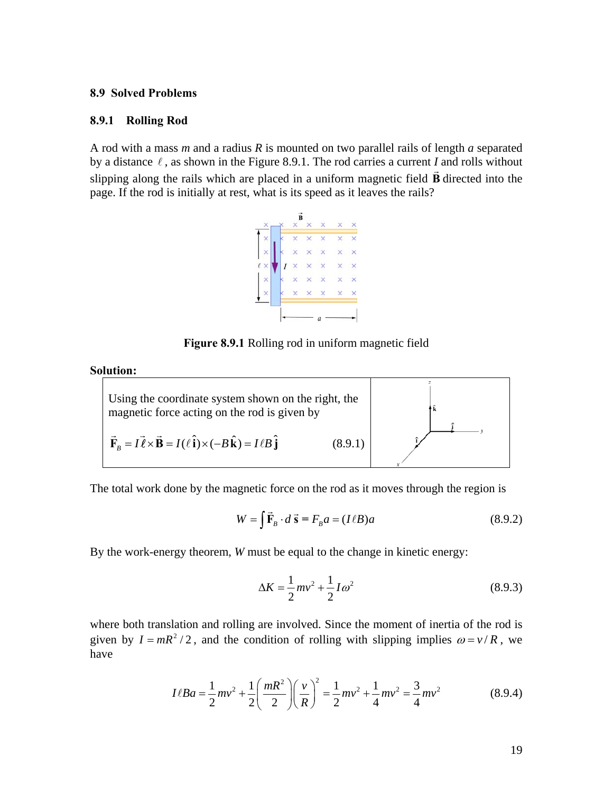#### <span id="page-19-0"></span>**8.9 Solved Problems**

#### **8.9.1 Rolling Rod**

A rod with a mass *m* and a radius *R* is mounted on two parallel rails of length *a* separated by a distance  $\ell$ , as shown in the Figure 8.9.1. The rod carries a current *I* and rolls without slipping along the rails which are placed in a uniform magnetic field **B** directed into the page. If the rod is initially at rest, what is its speed as it leaves the rails?



**Figure 8.9.1** Rolling rod in uniform magnetic field

#### **Solution:**



The total work done by the magnetic force on the rod as it moves through the region is

$$
W = \int \vec{\mathbf{F}}_B \cdot d\vec{\mathbf{s}} = F_B a = (I \ell B)a \tag{8.9.2}
$$

By the work-energy theorem, *W* must be equal to the change in kinetic energy:

$$
\Delta K = \frac{1}{2}mv^2 + \frac{1}{2}I\omega^2
$$
 (8.9.3)

where both translation and rolling are involved. Since the moment of inertia of the rod is given by  $I = mR^2/2$ , and the condition of rolling with slipping implies  $\omega = v/R$ , we have

$$
I\ell Ba = \frac{1}{2}mv^2 + \frac{1}{2}\left(\frac{mR^2}{2}\right)\left(\frac{v}{R}\right)^2 = \frac{1}{2}mv^2 + \frac{1}{4}mv^2 = \frac{3}{4}mv^2\tag{8.9.4}
$$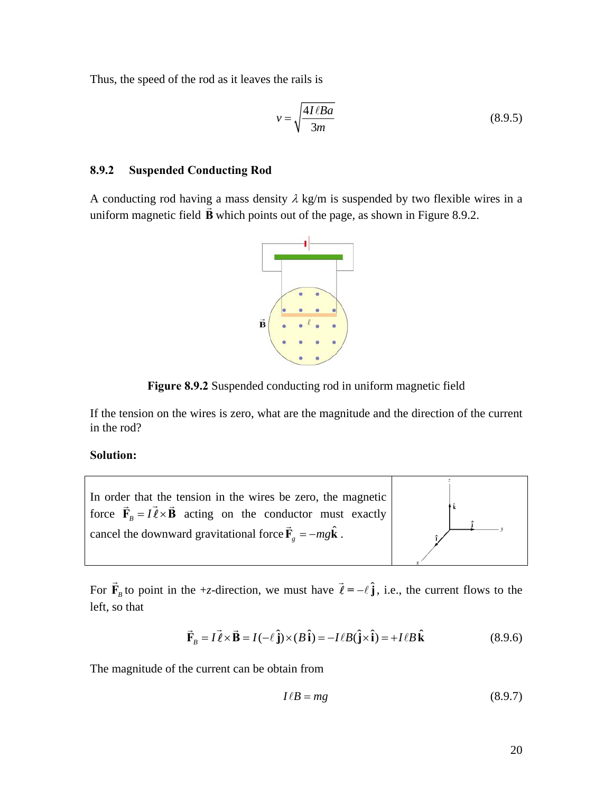<span id="page-20-0"></span>Thus, the speed of the rod as it leaves the rails is

$$
v = \sqrt{\frac{4I\ell Ba}{3m}}
$$
 (8.9.5)

#### **8.9.2 Suspended Conducting Rod**

A conducting rod having a mass density  $\lambda$  kg/m is suspended by two flexible wires in a uniform magnetic field  $\vec{B}$  which points out of the page, as shown in Figure 8.9.2.



**Figure 8.9.2** Suspended conducting rod in uniform magnetic field

If the tension on the wires is zero, what are the magnitude and the direction of the current in the rod?

#### **Solution:**



For  $\vec{F}_B$  to point in the +*z*-direction, we must have  $\vec{\ell} = -\ell \hat{j}$ , i.e., the current flows to the left, so that

$$
\vec{\mathbf{F}}_B = I\vec{\ell} \times \vec{\mathbf{B}} = I(-\ell \hat{\mathbf{j}}) \times (B\hat{\mathbf{i}}) = -I\ell B(\hat{\mathbf{j}} \times \hat{\mathbf{i}}) = +I\ell B\hat{\mathbf{k}} \tag{8.9.6}
$$

The magnitude of the current can be obtain from

$$
I\ell B = mg \tag{8.9.7}
$$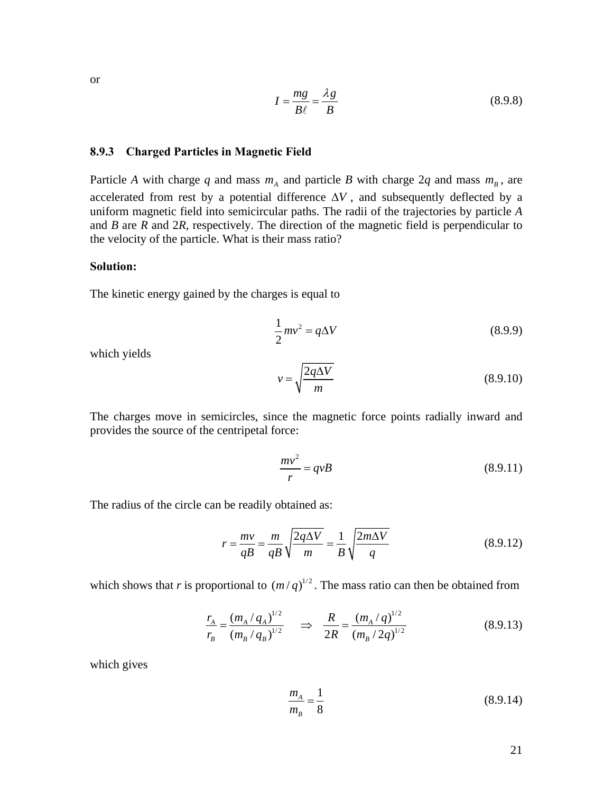<span id="page-21-0"></span>or

$$
I = \frac{mg}{B\ell} = \frac{\lambda g}{B}
$$
 (8.9.8)

#### **8.9.3 Charged Particles in Magnetic Field**

Particle A with charge q and mass  $m_A$  and particle B with charge 2q and mass  $m_B$ , are accelerated from rest by a potential difference  $\Delta V$ , and subsequently deflected by a uniform magnetic field into semicircular paths. The radii of the trajectories by particle *A* and *B* are *R* and 2*R*, respectively. The direction of the magnetic field is perpendicular to the velocity of the particle. What is their mass ratio?

#### **Solution:**

The kinetic energy gained by the charges is equal to

$$
\frac{1}{2}mv^2 = q\Delta V\tag{8.9.9}
$$

which yields

$$
v = \sqrt{\frac{2q\Delta V}{m}}
$$
(8.9.10)

The charges move in semicircles, since the magnetic force points radially inward and provides the source of the centripetal force:

$$
\frac{mv^2}{r} = qvB\tag{8.9.11}
$$

The radius of the circle can be readily obtained as:

$$
r = \frac{mv}{qB} = \frac{m}{qB} \sqrt{\frac{2q\Delta V}{m}} = \frac{1}{B} \sqrt{\frac{2m\Delta V}{q}}
$$
(8.9.12)

which shows that *r* is proportional to  $(m/q)^{1/2}$ . The mass ratio can then be obtained from

$$
\frac{r_A}{r_B} = \frac{(m_A/q_A)^{1/2}}{(m_B/q_B)^{1/2}} \quad \Rightarrow \quad \frac{R}{2R} = \frac{(m_A/q)^{1/2}}{(m_B/2q)^{1/2}} \tag{8.9.13}
$$

which gives

$$
\frac{m_A}{m_B} = \frac{1}{8}
$$
 (8.9.14)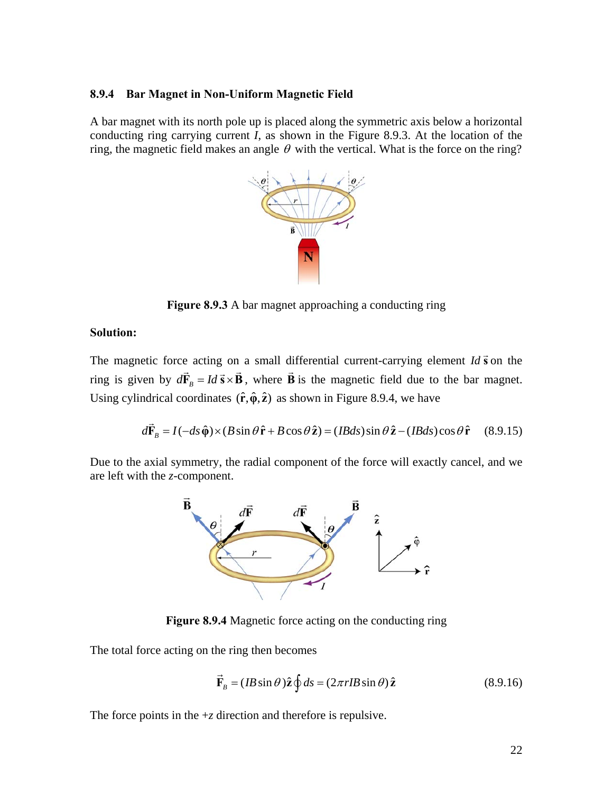#### <span id="page-22-0"></span>**8.9.4 Bar Magnet in Non-Uniform Magnetic Field**

A bar magnet with its north pole up is placed along the symmetric axis below a horizontal conducting ring carrying current *I*, as shown in the Figure 8.9.3. At the location of the ring, the magnetic field makes an angle  $\theta$  with the vertical. What is the force on the ring?



**Figure 8.9.3** A bar magnet approaching a conducting ring

## **Solution:**

The magnetic force acting on a small differential current-carrying element  $Id \vec{s}$  on the ring is given by  $d\vec{F}_B = Id \vec{s} \times \vec{B}$ , where  $\vec{B}$  $\overline{\phantom{a}}$ is the magnetic field due to the bar magnet. Using cylindrical coordinates  $(\hat{\mathbf{r}}, \hat{\boldsymbol{\phi}}, \hat{\mathbf{z}})$  as shown in Figure 8.9.4, we have

$$
d\vec{F}_B = I(-ds\hat{\phi}) \times (B\sin\theta \hat{r} + B\cos\theta \hat{z}) = (IBds)\sin\theta \hat{z} - (IBds)\cos\theta \hat{r}
$$
 (8.9.15)

Due to the axial symmetry, the radial component of the force will exactly cancel, and we are left with the *z*-component.



**Figure 8.9.4** Magnetic force acting on the conducting ring

The total force acting on the ring then becomes

$$
\vec{\mathbf{F}}_B = (IB\sin\theta)\hat{\mathbf{z}}\oint ds = (2\pi rIB\sin\theta)\hat{\mathbf{z}}
$$
 (8.9.16)

The force points in the  $+z$  direction and therefore is repulsive.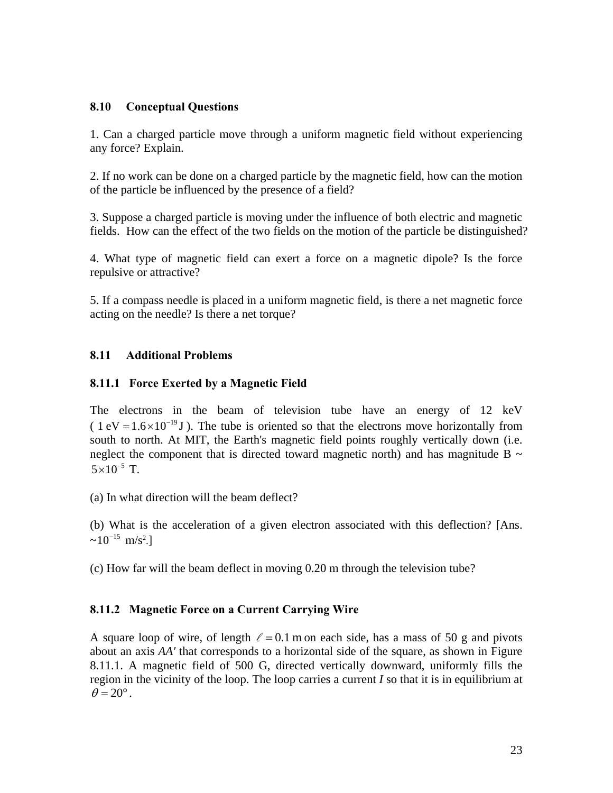## <span id="page-23-0"></span>**8.10 Conceptual Questions**

1. Can a charged particle move through a uniform magnetic field without experiencing any force? Explain.

2. If no work can be done on a charged particle by the magnetic field, how can the motion of the particle be influenced by the presence of a field?

3. Suppose a charged particle is moving under the influence of both electric and magnetic fields. How can the effect of the two fields on the motion of the particle be distinguished?

4. What type of magnetic field can exert a force on a magnetic dipole? Is the force repulsive or attractive?

5. If a compass needle is placed in a uniform magnetic field, is there a net magnetic force acting on the needle? Is there a net torque?

## **8.11 Additional Problems**

## **8.11.1 Force Exerted by a Magnetic Field**

The electrons in the beam of television tube have an energy of 12 keV  $(1 \text{ eV} = 1.6 \times 10^{-19} \text{ J})$ . The tube is oriented so that the electrons move horizontally from south to north. At MIT, the Earth's magnetic field points roughly vertically down (i.e. neglect the component that is directed toward magnetic north) and has magnitude B  $\sim$  $5 \times 10^{-5}$  T.

(a) In what direction will the beam deflect?

(b) What is the acceleration of a given electron associated with this deflection? [Ans. ~ $10^{-15}$  m/s<sup>2</sup>.]

(c) How far will the beam deflect in moving 0.20 m through the television tube?

## **8.11.2 Magnetic Force on a Current Carrying Wire**

A square loop of wire, of length  $\ell = 0.1$  m on each side, has a mass of 50 g and pivots about an axis *AA'* that corresponds to a horizontal side of the square, as shown in Figure 8.11.1. A magnetic field of 500 G, directed vertically downward, uniformly fills the region in the vicinity of the loop. The loop carries a current *I* so that it is in equilibrium at  $\theta = 20^{\circ}$ .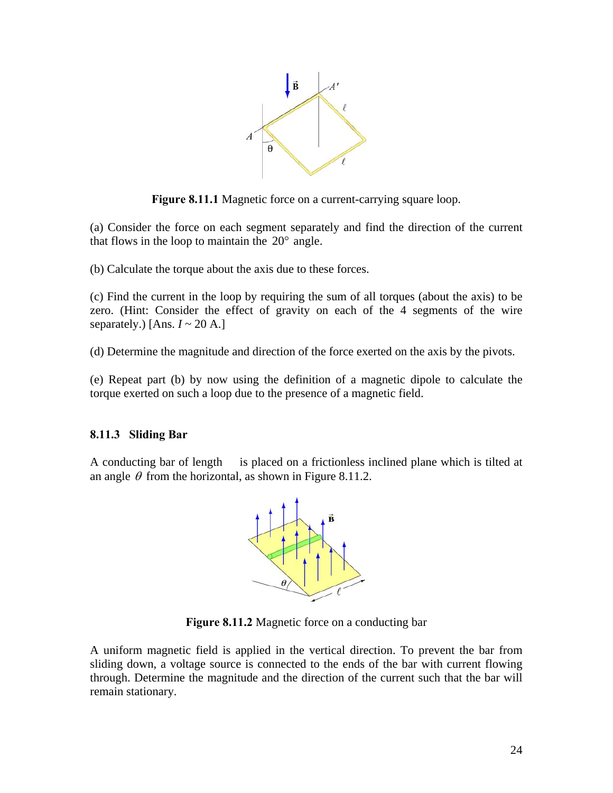

**Figure 8.11.1** Magnetic force on a current-carrying square loop.

<span id="page-24-0"></span>(a) Consider the force on each segment separately and find the direction of the current that flows in the loop to maintain the  $20^{\circ}$  angle.

(b) Calculate the torque about the axis due to these forces.

(c) Find the current in the loop by requiring the sum of all torques (about the axis) to be zero. (Hint: Consider the effect of gravity on each of the 4 segments of the wire separately.) [Ans.  $I \sim 20$  A.]

(d) Determine the magnitude and direction of the force exerted on the axis by the pivots.

(e) Repeat part (b) by now using the definition of a magnetic dipole to calculate the torque exerted on such a loop due to the presence of a magnetic field.

## **8.11.3 Sliding Bar**

A conducting bar of length is placed on a frictionless inclined plane which is tilted at an angle  $\theta$  from the horizontal, as shown in Figure 8.11.2.



**Figure 8.11.2** Magnetic force on a conducting bar

A uniform magnetic field is applied in the vertical direction. To prevent the bar from sliding down, a voltage source is connected to the ends of the bar with current flowing through. Determine the magnitude and the direction of the current such that the bar will remain stationary.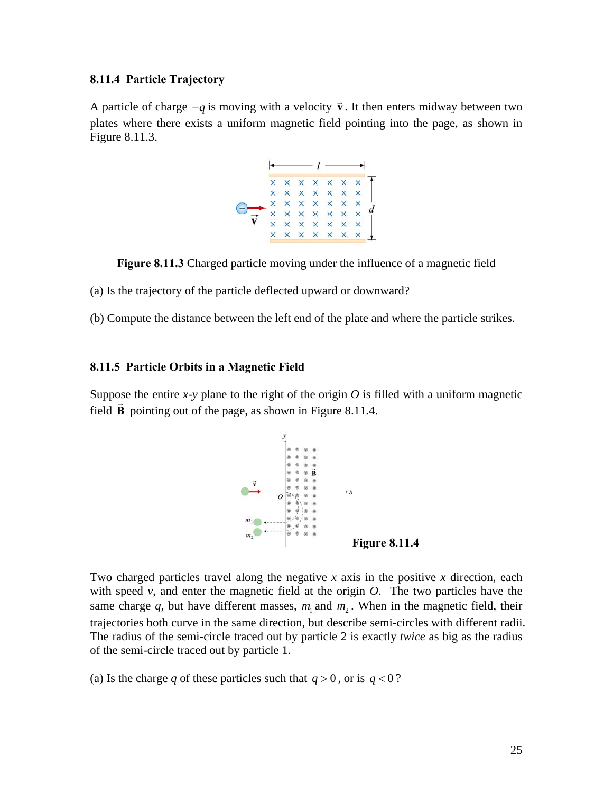#### <span id="page-25-0"></span>**8.11.4 Particle Trajectory**

A particle of charge  $-q$  is moving with a velocity  $\vec{v}$ . It then enters midway between two plates where there exists a uniform magnetic field pointing into the page, as shown in Figure 8.11.3.



**Figure 8.11.3** Charged particle moving under the influence of a magnetic field

(a) Is the trajectory of the particle deflected upward or downward?

(b) Compute the distance between the left end of the plate and where the particle strikes.

#### **8.11.5 Particle Orbits in a Magnetic Field**

Suppose the entire  $x-y$  plane to the right of the origin  $O$  is filled with a uniform magnetic field **B** pointing out of the page, as shown in Figure 8.11.4.



Two charged particles travel along the negative *x* axis in the positive *x* direction, each with speed *v*, and enter the magnetic field at the origin *O*. The two particles have the same charge q, but have different masses,  $m_1$  and  $m_2$ . When in the magnetic field, their trajectories both curve in the same direction, but describe semi-circles with different radii. The radius of the semi-circle traced out by particle 2 is exactly *twice* as big as the radius of the semi-circle traced out by particle 1.

(a) Is the charge *q* of these particles such that  $q > 0$ , or is  $q < 0$ ?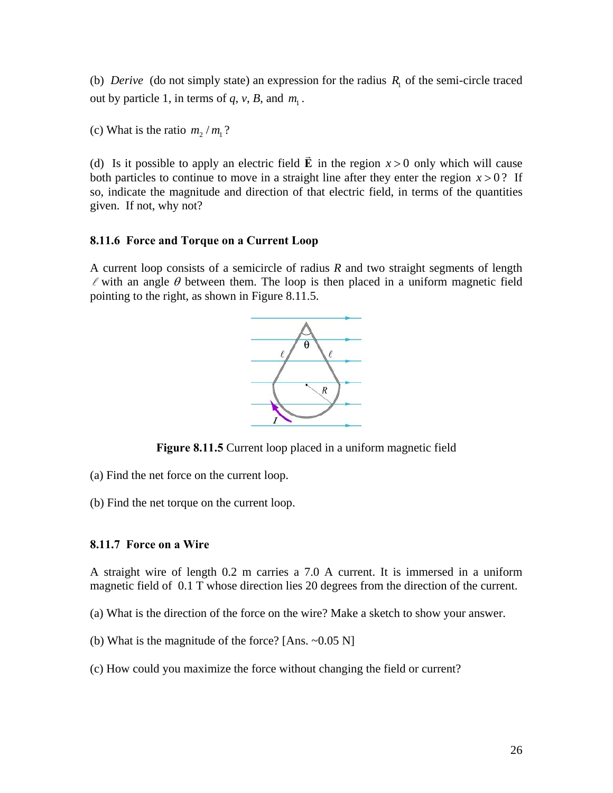<span id="page-26-0"></span>(b) *Derive* (do not simply state) an expression for the radius  $R_1$  of the semi-circle traced out by particle 1, in terms of  $q$ ,  $v$ ,  $B$ , and  $m_1$ .

(c) What is the ratio  $m_2 / m_1$ ?

(d) Is it possible to apply an electric field  $\vec{E}$  in the region  $x > 0$  only which will cause both particles to continue to move in a straight line after they enter the region  $x > 0$ ? If so, indicate the magnitude and direction of that electric field, in terms of the quantities given. If not, why not?

## **8.11.6 Force and Torque on a Current Loop**

A current loop consists of a semicircle of radius *R* and two straight segments of length  $\ell$  with an angle  $\theta$  between them. The loop is then placed in a uniform magnetic field pointing to the right, as shown in Figure 8.11.5.



**Figure 8.11.5** Current loop placed in a uniform magnetic field

- (a) Find the net force on the current loop.
- (b) Find the net torque on the current loop.

## **8.11.7 Force on a Wire**

A straight wire of length 0.2 m carries a 7.0 A current. It is immersed in a uniform magnetic field of 0.1 T whose direction lies 20 degrees from the direction of the current.

(a) What is the direction of the force on the wire? Make a sketch to show your answer.

- (b) What is the magnitude of the force? [Ans. ~0.05 N]
- (c) How could you maximize the force without changing the field or current?